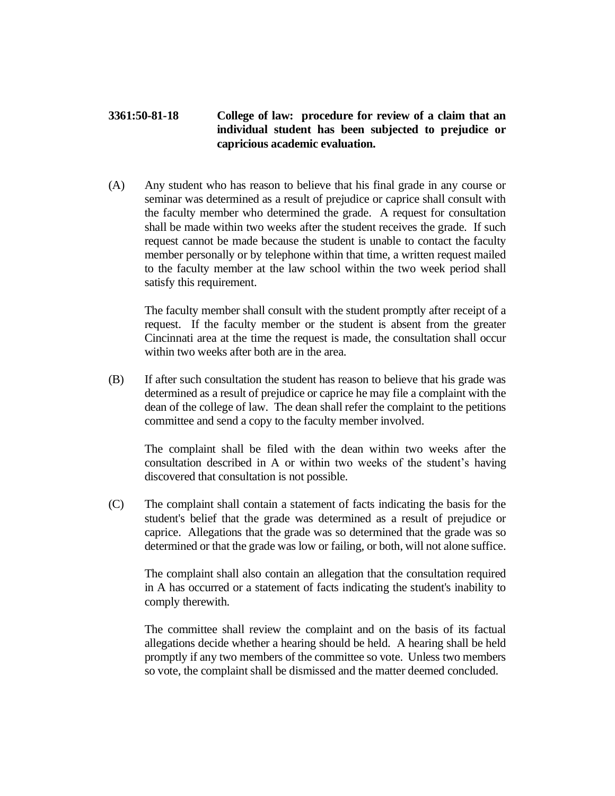## **3361:50-81-18 College of law: procedure for review of a claim that an individual student has been subjected to prejudice or capricious academic evaluation.**

(A) Any student who has reason to believe that his final grade in any course or seminar was determined as a result of prejudice or caprice shall consult with the faculty member who determined the grade. A request for consultation shall be made within two weeks after the student receives the grade. If such request cannot be made because the student is unable to contact the faculty member personally or by telephone within that time, a written request mailed to the faculty member at the law school within the two week period shall satisfy this requirement.

The faculty member shall consult with the student promptly after receipt of a request. If the faculty member or the student is absent from the greater Cincinnati area at the time the request is made, the consultation shall occur within two weeks after both are in the area.

(B) If after such consultation the student has reason to believe that his grade was determined as a result of prejudice or caprice he may file a complaint with the dean of the college of law. The dean shall refer the complaint to the petitions committee and send a copy to the faculty member involved.

The complaint shall be filed with the dean within two weeks after the consultation described in A or within two weeks of the student's having discovered that consultation is not possible.

(C) The complaint shall contain a statement of facts indicating the basis for the student's belief that the grade was determined as a result of prejudice or caprice. Allegations that the grade was so determined that the grade was so determined or that the grade was low or failing, or both, will not alone suffice.

The complaint shall also contain an allegation that the consultation required in A has occurred or a statement of facts indicating the student's inability to comply therewith.

The committee shall review the complaint and on the basis of its factual allegations decide whether a hearing should be held. A hearing shall be held promptly if any two members of the committee so vote. Unless two members so vote, the complaint shall be dismissed and the matter deemed concluded.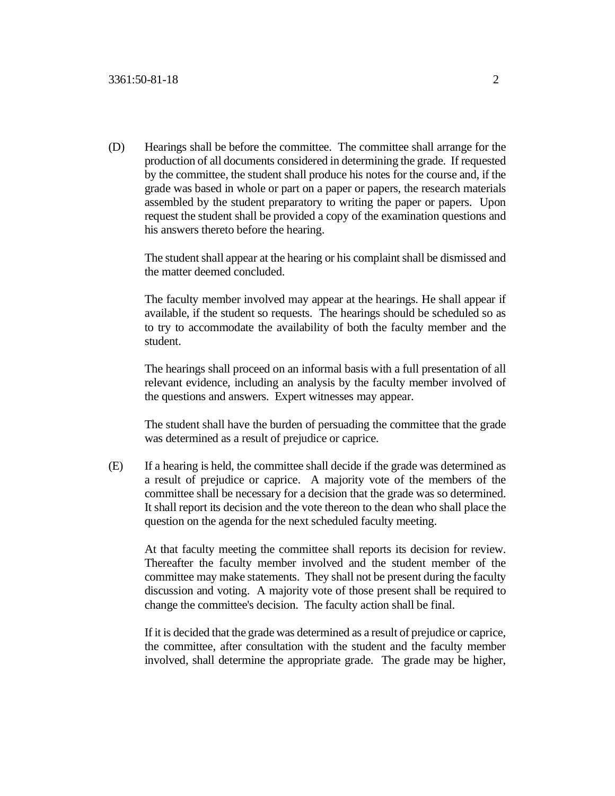(D) Hearings shall be before the committee. The committee shall arrange for the production of all documents considered in determining the grade. If requested by the committee, the student shall produce his notes for the course and, if the grade was based in whole or part on a paper or papers, the research materials assembled by the student preparatory to writing the paper or papers. Upon request the student shall be provided a copy of the examination questions and his answers thereto before the hearing.

The student shall appear at the hearing or his complaint shall be dismissed and the matter deemed concluded.

The faculty member involved may appear at the hearings. He shall appear if available, if the student so requests. The hearings should be scheduled so as to try to accommodate the availability of both the faculty member and the student.

The hearings shall proceed on an informal basis with a full presentation of all relevant evidence, including an analysis by the faculty member involved of the questions and answers. Expert witnesses may appear.

The student shall have the burden of persuading the committee that the grade was determined as a result of prejudice or caprice.

(E) If a hearing is held, the committee shall decide if the grade was determined as a result of prejudice or caprice. A majority vote of the members of the committee shall be necessary for a decision that the grade was so determined. It shall report its decision and the vote thereon to the dean who shall place the question on the agenda for the next scheduled faculty meeting.

At that faculty meeting the committee shall reports its decision for review. Thereafter the faculty member involved and the student member of the committee may make statements. They shall not be present during the faculty discussion and voting. A majority vote of those present shall be required to change the committee's decision. The faculty action shall be final.

If it is decided that the grade was determined as a result of prejudice or caprice, the committee, after consultation with the student and the faculty member involved, shall determine the appropriate grade. The grade may be higher,